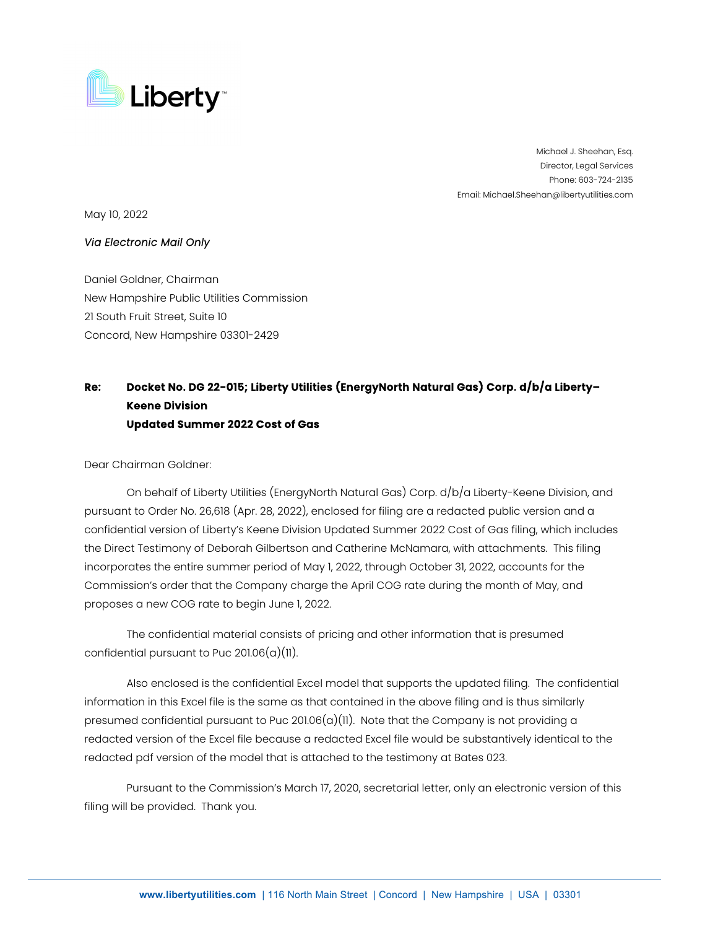

Michael J. Sheehan, Esq. Director, Legal Services Phone: 603-724-2135 Email: Michael.Sheehan@libertyutilities.com

May 10, 2022

## *Via Electronic Mail Only*

Daniel Goldner, Chairman New Hampshire Public Utilities Commission 21 South Fruit Street, Suite 10 Concord, New Hampshire 03301-2429

## **Re: Docket No. DG 22-015; Liberty Utilities (EnergyNorth Natural Gas) Corp. d/b/a Liberty– Keene Division Updated Summer 2022 Cost of Gas**

Dear Chairman Goldner:

On behalf of Liberty Utilities (EnergyNorth Natural Gas) Corp. d/b/a Liberty-Keene Division, and pursuant to Order No. 26,618 (Apr. 28, 2022), enclosed for filing are a redacted public version and a confidential version of Liberty's Keene Division Updated Summer 2022 Cost of Gas filing, which includes the Direct Testimony of Deborah Gilbertson and Catherine McNamara, with attachments. This filing incorporates the entire summer period of May 1, 2022, through October 31, 2022, accounts for the Commission's order that the Company charge the April COG rate during the month of May, and proposes a new COG rate to begin June 1, 2022.

The confidential material consists of pricing and other information that is presumed confidential pursuant to Puc  $201.06(a)(11)$ .

Also enclosed is the confidential Excel model that supports the updated filing. The confidential information in this Excel file is the same as that contained in the above filing and is thus similarly presumed confidential pursuant to Puc  $201.06(a)(11)$ . Note that the Company is not providing a redacted version of the Excel file because a redacted Excel file would be substantively identical to the redacted pdf version of the model that is attached to the testimony at Bates 023.

Pursuant to the Commission's March 17, 2020, secretarial letter, only an electronic version of this filing will be provided. Thank you.